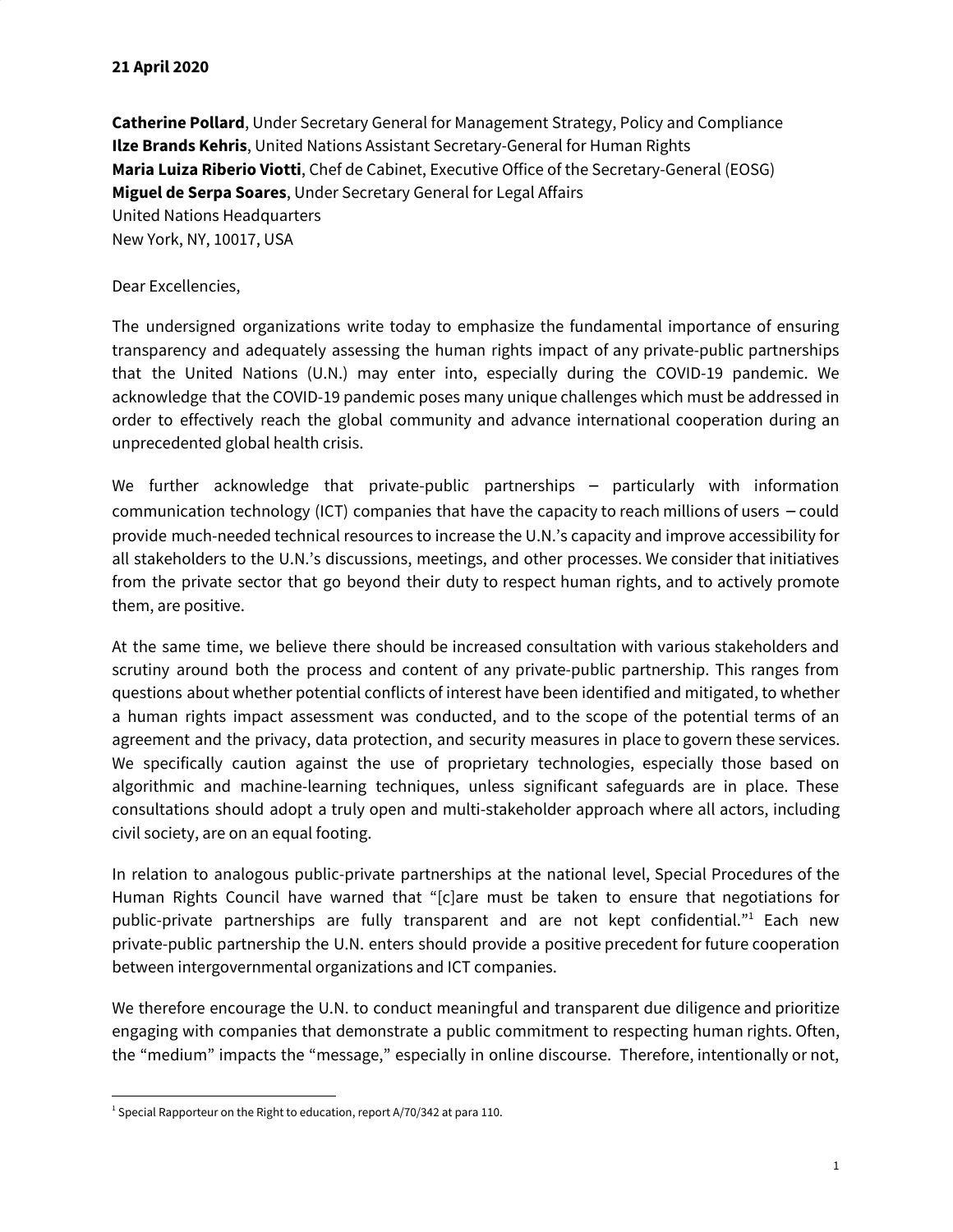## **21 April 2020**

**Catherine Pollard**, Under Secretary General for Management Strategy, Policy and Compliance **Ilze Brands Kehris**, United Nations Assistant Secretary-General for Human Rights **Maria Luiza Riberio Viotti**, Chef de Cabinet, Executive Office of the Secretary-General (EOSG) **Miguel de Serpa Soares**, Under Secretary General for Legal Affairs United Nations Headquarters New York, NY, 10017, USA

## Dear Excellencies,

The undersigned organizations write today to emphasize the fundamental importance of ensuring transparency and adequately assessing the human rights impact of any private-public partnerships that the United Nations (U.N.) may enter into, especially during the COVID-19 pandemic. We acknowledge that the COVID-19 pandemic poses many unique challenges which must be addressed in order to effectively reach the global community and advance international cooperation during an unprecedented global health crisis.

We further acknowledge that private-public partnerships – particularly with information communication technology (ICT) companies that have the capacity to reach millions of users – could provide much-needed technical resources to increase the U.N.'s capacity and improve accessibility for all stakeholders to the U.N.'s discussions, meetings, and other processes. We consider that initiatives from the private sector that go beyond their duty to respect human rights, and to actively promote them, are positive.

At the same time, we believe there should be increased consultation with various stakeholders and scrutiny around both the process and content of any private-public partnership. This ranges from questions about whether potential conflicts of interest have been identified and mitigated, to whether a human rights impact assessment was conducted, and to the scope of the potential terms of an agreement and the privacy, data protection, and security measures in place to govern these services. We specifically caution against the use of proprietary technologies, especially those based on algorithmic and machine-learning techniques, unless significant safeguards are in place. These consultations should adopt a truly open and multi-stakeholder approach where all actors, including civil society, are on an equal footing.

In relation to analogous public-private partnerships at the national level, Special Procedures of the Human Rights Council have warned that "[c]are must be taken to ensure that negotiations for public-private partnerships are fully transparent and are not kept confidential."<sup>1</sup> Each new private-public partnership the U.N. enters should provide a positive precedent for future cooperation between intergovernmental organizations and ICT companies.

We therefore encourage the U.N. to conduct meaningful and transparent due diligence and prioritize engaging with companies that demonstrate a public commitment to respecting human rights. Often, the "medium" impacts the "message," especially in online discourse. Therefore, intentionally or not,

 $1$  Special Rapporteur on the Right to education, report A/70/342 at para 110.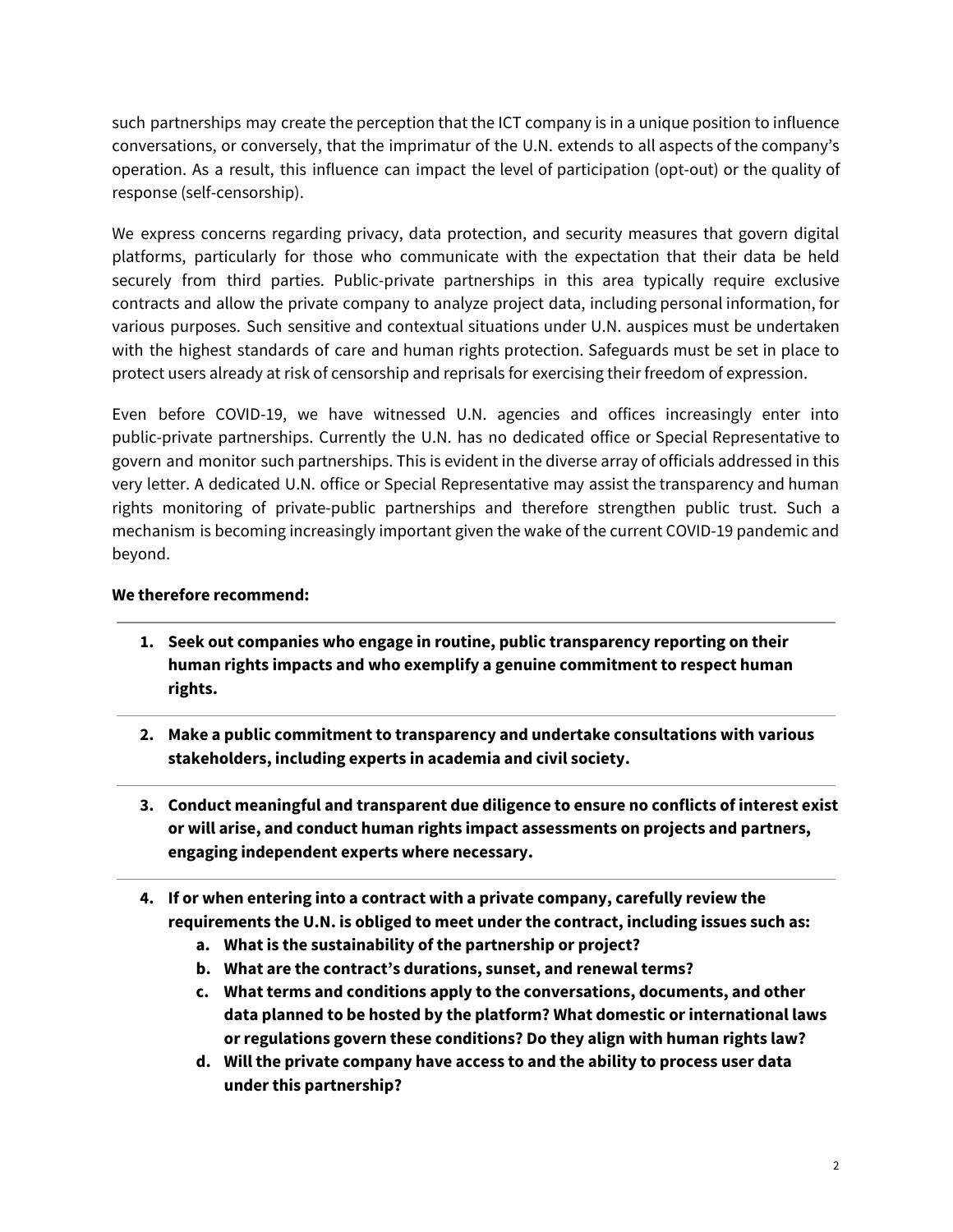such partnerships may create the perception that the ICT company is in a unique position to influence conversations, or conversely, that the imprimatur of the U.N. extends to all aspects of the company's operation. As a result, this influence can impact the level of participation (opt-out) or the quality of response (self-censorship).

We express concerns regarding privacy, data protection, and security measures that govern digital platforms, particularly for those who communicate with the expectation that their data be held securely from third parties. Public-private partnerships in this area typically require exclusive contracts and allow the private company to analyze project data, including personal information, for various purposes. Such sensitive and contextual situations under U.N. auspices must be undertaken with the highest standards of care and human rights protection. Safeguards must be set in place to protect users already at risk of censorship and reprisals for exercising their freedom of expression.

Even before COVID-19, we have witnessed U.N. agencies and offices increasingly enter into public-private partnerships. Currently the U.N. has no dedicated office or Special Representative to govern and monitor such partnerships. This is evident in the diverse array of officials addressed in this very letter. A dedicated U.N. office or Special Representative may assist the transparency and human rights monitoring of private-public partnerships and therefore strengthen public trust. Such a mechanism is becoming increasingly important given the wake of the current COVID-19 pandemic and beyond.

## **We therefore recommend:**

- **1. Seek out companies who engage in routine, public transparency reporting on their human rights impacts and who exemplify a genuine commitment to respect human rights.**
- **2. Make a public commitment to transparency and undertake consultations with various stakeholders, including experts in academia and civil society.**
- **3. Conduct meaningful and transparent due diligence to ensure no conflicts of interest exist or will arise, and conduct human rights impact assessments on projects and partners, engaging independent experts where necessary.**
- **4. If or when entering into a contract with a private company, carefully review the requirements the U.N. is obliged to meet under the contract, including issues such as:**
	- **a. What is the sustainability of the partnership or project?**
	- **b. What are the contract's durations, sunset, and renewal terms?**
	- **c. What terms and conditions apply to the conversations, documents, and other data planned to be hosted by the platform? What domestic or international laws or regulations govern these conditions? Do they align with human rights law?**
	- **d. Will the private company have access to and the ability to process user data under this partnership?**